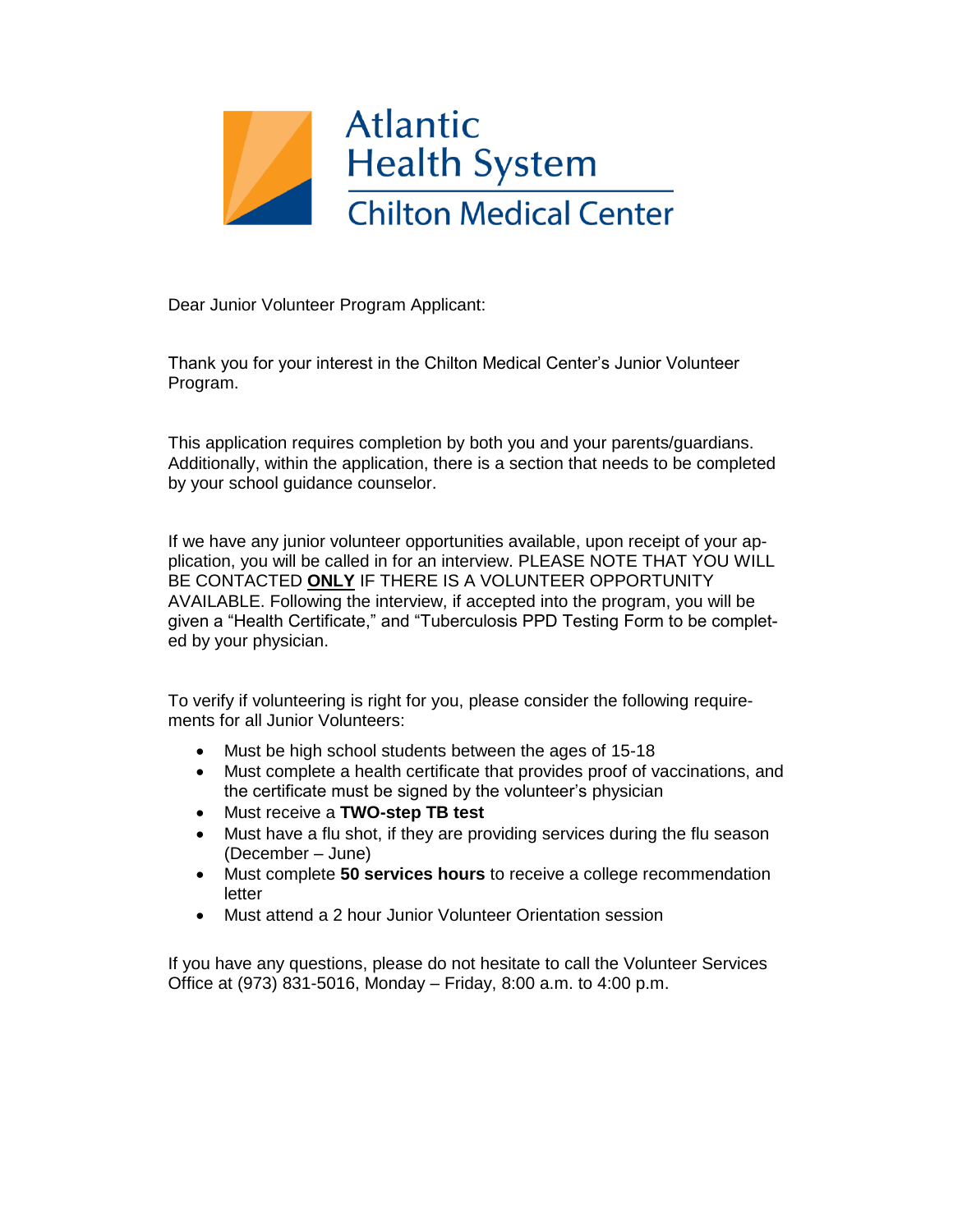

Dear Junior Volunteer Program Applicant:

Thank you for your interest in the Chilton Medical Center's Junior Volunteer Program.

This application requires completion by both you and your parents/guardians. Additionally, within the application, there is a section that needs to be completed by your school guidance counselor.

If we have any junior volunteer opportunities available, upon receipt of your application, you will be called in for an interview. PLEASE NOTE THAT YOU WILL BE CONTACTED **ONLY** IF THERE IS A VOLUNTEER OPPORTUNITY AVAILABLE. Following the interview, if accepted into the program, you will be given a "Health Certificate," and "Tuberculosis PPD Testing Form to be completed by your physician.

To verify if volunteering is right for you, please consider the following requirements for all Junior Volunteers:

- Must be high school students between the ages of 15-18
- Must complete a health certificate that provides proof of vaccinations, and the certificate must be signed by the volunteer's physician
- Must receive a **TWO-step TB test**
- Must have a flu shot, if they are providing services during the flu season (December – June)
- Must complete **50 services hours** to receive a college recommendation letter
- Must attend a 2 hour Junior Volunteer Orientation session

If you have any questions, please do not hesitate to call the Volunteer Services Office at (973) 831-5016, Monday – Friday, 8:00 a.m. to 4:00 p.m.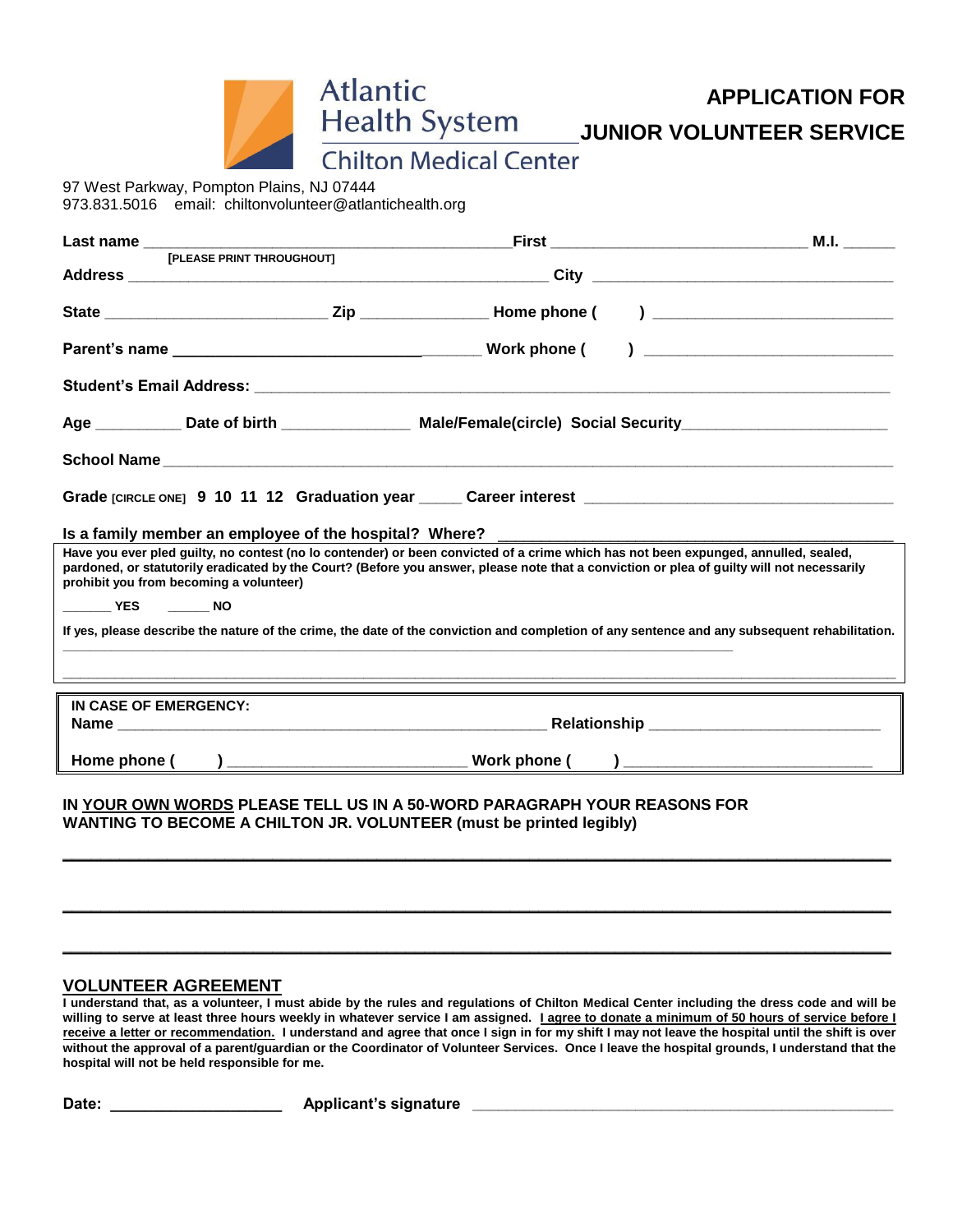

**APPLICATION FOR**

Health System JUNIOR VOLUNTEER SERVICE

**Chilton Medical Center** 

**Atlantic** 

97 West Parkway, Pompton Plains, NJ 07444 973.831.5016 email: chiltonvolunteer@atlantichealth.org

| [PLEASE PRINT THROUGHOUT]                                                |                                                             |                                                                                                                                                                                                                                                                                   |
|--------------------------------------------------------------------------|-------------------------------------------------------------|-----------------------------------------------------------------------------------------------------------------------------------------------------------------------------------------------------------------------------------------------------------------------------------|
|                                                                          |                                                             |                                                                                                                                                                                                                                                                                   |
|                                                                          |                                                             |                                                                                                                                                                                                                                                                                   |
|                                                                          |                                                             |                                                                                                                                                                                                                                                                                   |
|                                                                          |                                                             | Student's Email Address: Student & Student & Student & Student & Student's Email Address:                                                                                                                                                                                         |
|                                                                          |                                                             | Age ___________ Date of birth _________________ Male/Female(circle) Social Security_______________________                                                                                                                                                                        |
|                                                                          |                                                             |                                                                                                                                                                                                                                                                                   |
|                                                                          |                                                             | Grade [CIRCLE ONE] 9 10 11 12 Graduation year ______ Career interest _______________________________                                                                                                                                                                              |
|                                                                          |                                                             |                                                                                                                                                                                                                                                                                   |
| prohibit you from becoming a volunteer)                                  |                                                             | Have you ever pled guilty, no contest (no lo contender) or been convicted of a crime which has not been expunged, annulled, sealed,<br>pardoned, or statutorily eradicated by the Court? (Before you answer, please note that a conviction or plea of guilty will not necessarily |
| NO VES NO                                                                |                                                             |                                                                                                                                                                                                                                                                                   |
|                                                                          | <u> 1989 - Johann Stoff, amerikansk politiker (d. 1989)</u> | If yes, please describe the nature of the crime, the date of the conviction and completion of any sentence and any subsequent rehabilitation.                                                                                                                                     |
|                                                                          |                                                             |                                                                                                                                                                                                                                                                                   |
| IN CASE OF EMERGENCY:                                                    |                                                             |                                                                                                                                                                                                                                                                                   |
|                                                                          |                                                             |                                                                                                                                                                                                                                                                                   |
|                                                                          |                                                             |                                                                                                                                                                                                                                                                                   |
| IN YOUR OWN WORDS PLEASE TELL US IN A 50-WORD PARAGRAPH YOUR REASONS FOR |                                                             |                                                                                                                                                                                                                                                                                   |

**WANTING TO BECOME A CHILTON JR. VOLUNTEER (must be printed legibly)**

## **VOLUNTEER AGREEMENT**

**I understand that, as a volunteer, I must abide by the rules and regulations of Chilton Medical Center including the dress code and will be willing to serve at least three hours weekly in whatever service I am assigned. I agree to donate a minimum of 50 hours of service before I receive a letter or recommendation. I understand and agree that once I sign in for my shift I may not leave the hospital until the shift is over without the approval of a parent/guardian or the Coordinator of Volunteer Services. Once I leave the hospital grounds, I understand that the hospital will not be held responsible for me.**

**\_\_\_\_\_\_\_\_\_\_\_\_\_\_\_\_\_\_\_\_\_\_\_\_\_\_\_\_\_\_\_\_\_\_\_\_\_\_\_\_\_\_\_\_\_\_\_\_\_\_\_\_\_\_\_\_\_\_\_\_\_\_\_\_\_\_\_\_\_\_\_\_\_\_\_\_\_\_\_\_\_\_\_\_\_\_\_**

**\_\_\_\_\_\_\_\_\_\_\_\_\_\_\_\_\_\_\_\_\_\_\_\_\_\_\_\_\_\_\_\_\_\_\_\_\_\_\_\_\_\_\_\_\_\_\_\_\_\_\_\_\_\_\_\_\_\_\_\_\_\_\_\_\_\_\_\_\_\_\_\_\_\_\_\_\_\_\_\_\_\_\_\_\_\_\_**

**\_\_\_\_\_\_\_\_\_\_\_\_\_\_\_\_\_\_\_\_\_\_\_\_\_\_\_\_\_\_\_\_\_\_\_\_\_\_\_\_\_\_\_\_\_\_\_\_\_\_\_\_\_\_\_\_\_\_\_\_\_\_\_\_\_\_\_\_\_\_\_\_\_\_\_\_\_\_\_\_\_\_\_\_\_\_\_**

**Date: \_\_\_\_\_\_\_\_\_\_\_\_\_\_\_\_\_\_\_\_ Applicant's signature \_\_\_\_\_\_\_\_\_\_\_\_\_\_\_\_\_\_\_\_\_\_\_\_\_\_\_\_\_\_\_\_\_\_\_\_\_\_\_\_\_\_\_\_\_\_\_\_\_**